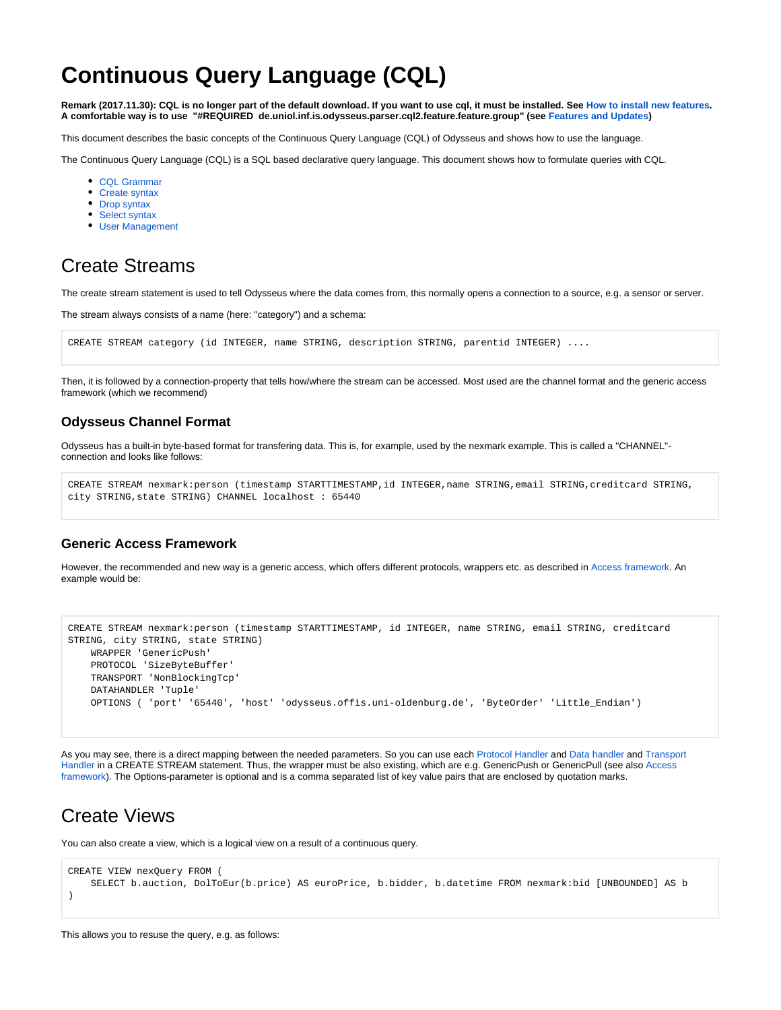# **Continuous Query Language (CQL)**

**Remark (2017.11.30): CQL is no longer part of the default download. If you want to use cql, it must be installed. See [How to install new features](https://wiki.odysseus.informatik.uni-oldenburg.de/display/ODYSSEUS/How+to+install+new+features). A comfortable way is to use "#REQUIRED de.uniol.inf.is.odysseus.parser.cql2.feature.feature.group" (see [Features and Updates\)](https://wiki.odysseus.informatik.uni-oldenburg.de/display/ODYSSEUS/Features+and+Updates)**

This document describes the basic concepts of the Continuous Query Language (CQL) of Odysseus and shows how to use the language.

The Continuous Query Language (CQL) is a SQL based declarative query language. This document shows how to formulate queries with CQL.

- [CQL Grammar](https://wiki.odysseus.informatik.uni-oldenburg.de/display/ODYSSEUS/CQL+Grammar)
- [Create syntax](https://wiki.odysseus.informatik.uni-oldenburg.de/display/ODYSSEUS/Create+syntax)
- [Drop syntax](https://wiki.odysseus.informatik.uni-oldenburg.de/display/ODYSSEUS/Drop+syntax)
- [Select syntax](https://wiki.odysseus.informatik.uni-oldenburg.de/display/ODYSSEUS/Select+syntax)
- [User Management](https://wiki.odysseus.informatik.uni-oldenburg.de/display/ODYSSEUS/User+Management)

### Create Streams

The create stream statement is used to tell Odysseus where the data comes from, this normally opens a connection to a source, e.g. a sensor or server.

The stream always consists of a name (here: "category") and a schema:

```
CREATE STREAM category (id INTEGER, name STRING, description STRING, parentid INTEGER) ....
```
Then, it is followed by a connection-property that tells how/where the stream can be accessed. Most used are the channel format and the generic access framework (which we recommend)

### **Odysseus Channel Format**

Odysseus has a built-in byte-based format for transfering data. This is, for example, used by the nexmark example. This is called a "CHANNEL" connection and looks like follows:

```
CREATE STREAM nexmark:person (timestamp STARTTIMESTAMP,id INTEGER,name STRING,email STRING,creditcard STRING,
city STRING,state STRING) CHANNEL localhost : 65440
```
#### **Generic Access Framework**

However, the recommended and new way is a generic access, which offers different protocols, wrappers etc. as described in [Access framework.](https://wiki.odysseus.informatik.uni-oldenburg.de/display/ODYSSEUS/Access+framework) An example would be:

```
CREATE STREAM nexmark:person (timestamp STARTTIMESTAMP, id INTEGER, name STRING, email STRING, creditcard 
STRING, city STRING, state STRING)
    WRAPPER 'GenericPush' 
    PROTOCOL 'SizeByteBuffer'
    TRANSPORT 'NonBlockingTcp'
    DATAHANDLER 'Tuple'
    OPTIONS ( 'port' '65440', 'host' 'odysseus.offis.uni-oldenburg.de', 'ByteOrder' 'Little_Endian')
```
As you may see, there is a direct mapping between the needed parameters. So you can use each [Protocol Handler](https://wiki.odysseus.informatik.uni-oldenburg.de/display/ODYSSEUS/Protocol+handler) and [Data handler](https://wiki.odysseus.informatik.uni-oldenburg.de/display/ODYSSEUS/Data+handler) and [Transport](https://wiki.odysseus.informatik.uni-oldenburg.de/display/ODYSSEUS/Transport+handler)  [Handler](https://wiki.odysseus.informatik.uni-oldenburg.de/display/ODYSSEUS/Transport+handler) in a CREATE STREAM statement. Thus, the wrapper must be also existing, which are e.g. GenericPush or GenericPull (see also [Access](https://wiki.odysseus.informatik.uni-oldenburg.de/display/ODYSSEUS/Access+framework)  [framework](https://wiki.odysseus.informatik.uni-oldenburg.de/display/ODYSSEUS/Access+framework)). The Options-parameter is optional and is a comma separated list of key value pairs that are enclosed by quotation marks.

### Create Views

You can also create a view, which is a logical view on a result of a continuous query.

```
CREATE VIEW nexQuery FROM (
    SELECT b.auction, DolToEur(b.price) AS euroPrice, b.bidder, b.datetime FROM nexmark:bid [UNBOUNDED] AS b
)
```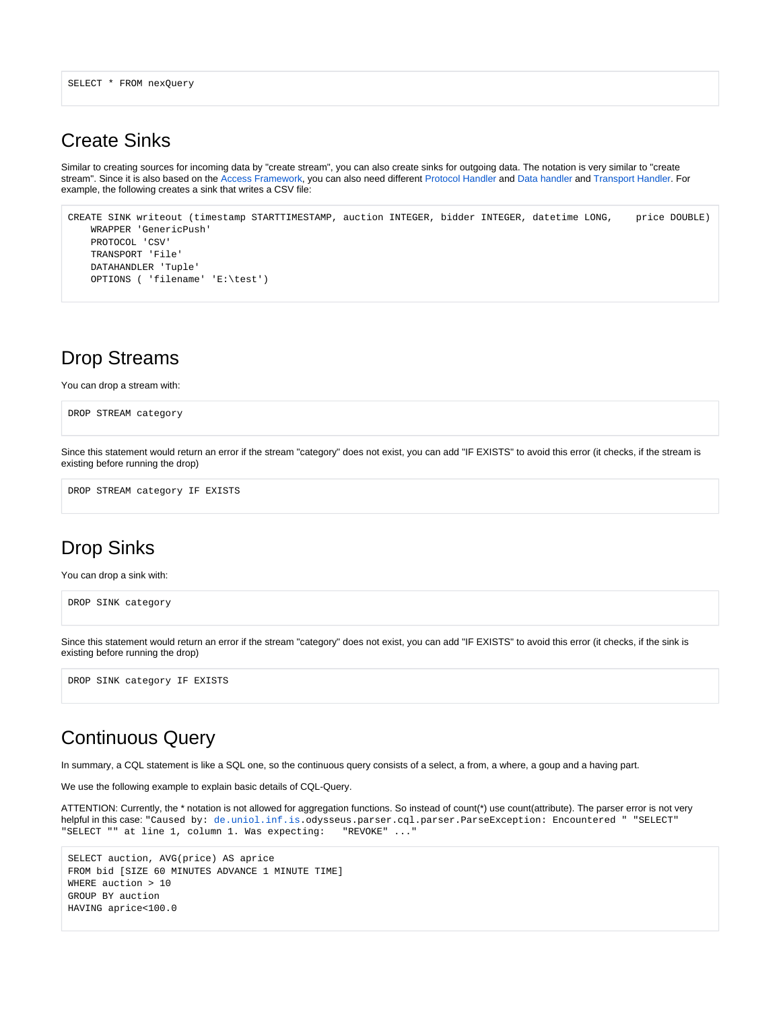```
SELECT * FROM nexQuery
```
### Create Sinks

Similar to creating sources for incoming data by "create stream", you can also create sinks for outgoing data. The notation is very similar to "create stream". Since it is also based on the [Access Framework](https://wiki.odysseus.informatik.uni-oldenburg.de/display/ODYSSEUS/Access+framework), you can also need different [Protocol Handler](https://wiki.odysseus.informatik.uni-oldenburg.de/display/ODYSSEUS/Protocol+handler) and [Data handler](https://wiki.odysseus.informatik.uni-oldenburg.de/display/ODYSSEUS/Data+handler) and [Transport Handler](https://wiki.odysseus.informatik.uni-oldenburg.de/display/ODYSSEUS/Transport+handler). For example, the following creates a sink that writes a CSV file:

```
CREATE SINK writeout (timestamp STARTTIMESTAMP, auction INTEGER, bidder INTEGER, datetime LONG, price DOUBLE)
    WRAPPER 'GenericPush'
    PROTOCOL 'CSV'
    TRANSPORT 'File'
    DATAHANDLER 'Tuple'
    OPTIONS ( 'filename' 'E:\test')
```
## Drop Streams

You can drop a stream with:

```
DROP STREAM category
```
Since this statement would return an error if the stream "category" does not exist, you can add "IF EXISTS" to avoid this error (it checks, if the stream is existing before running the drop)

DROP STREAM category IF EXISTS

### Drop Sinks

You can drop a sink with:

```
DROP SINK category
```
Since this statement would return an error if the stream "category" does not exist, you can add "IF EXISTS" to avoid this error (it checks, if the sink is existing before running the drop)

DROP SINK category IF EXISTS

### Continuous Query

In summary, a CQL statement is like a SQL one, so the continuous query consists of a select, a from, a where, a goup and a having part.

We use the following example to explain basic details of CQL-Query.

```
ATTENTION: Currently, the * notation is not allowed for aggregation functions. So instead of count(*) use count(attribute). The parser error is not very 
helpful in this case: "Caused by: de.uniol.inf.is.odysseus.parser.cql.parser.ParseException: Encountered " "SELECT" 
"SELECT "" at line 1, column 1. Was expecting: "REVOKE" ..."
```

```
SELECT auction, AVG(price) AS aprice 
FROM bid [SIZE 60 MINUTES ADVANCE 1 MINUTE TIME]
WHERE auction > 10 
GROUP BY auction 
HAVING aprice<100.0
```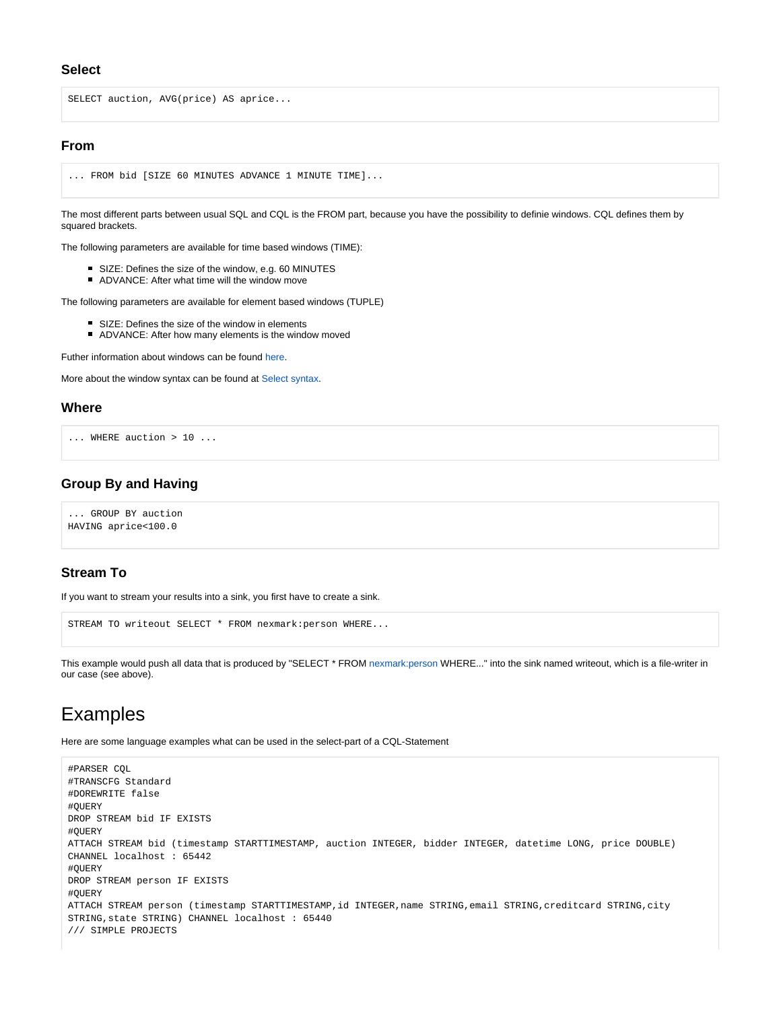#### **Select**

SELECT auction, AVG(price) AS aprice...

#### **From**

```
... FROM bid [SIZE 60 MINUTES ADVANCE 1 MINUTE TIME]...
```
The most different parts between usual SQL and CQL is the FROM part, because you have the possibility to definie windows. CQL defines them by squared brackets.

The following parameters are available for time based windows (TIME):

- SIZE: Defines the size of the window, e.g. 60 MINUTES
- ADVANCE: After what time will the window move

The following parameters are available for element based windows (TUPLE)

- SIZE: Defines the size of the window in elements
- **ADVANCE:** After how many elements is the window moved

Futher information about windows can be found [here](https://wiki.odysseus.informatik.uni-oldenburg.de/pages/viewpage.action?pageId=4587829).

More about the window syntax can be found at [Select syntax.](https://wiki.odysseus.informatik.uni-oldenburg.de/display/ODYSSEUS/Select+syntax)

#### **Where**

```
... WHERE auction > 10 ...
```
#### **Group By and Having**

... GROUP BY auction HAVING aprice<100.0

#### **Stream To**

If you want to stream your results into a sink, you first have to create a sink.

```
STREAM TO writeout SELECT * FROM nexmark:person WHERE...
```
This example would push all data that is produced by "SELECT \* FROM [nexmark:person](http://nexmarkperson) WHERE..." into the sink named writeout, which is a file-writer in our case (see above).

### Examples

Here are some language examples what can be used in the select-part of a CQL-Statement

```
#PARSER CQL
#TRANSCFG Standard
#DOREWRITE false
#QUERY
DROP STREAM bid IF EXISTS
#QUERY
ATTACH STREAM bid (timestamp STARTTIMESTAMP, auction INTEGER, bidder INTEGER, datetime LONG, price DOUBLE) 
CHANNEL localhost : 65442
#QUERY
DROP STREAM person IF EXISTS
#QUERY
ATTACH STREAM person (timestamp STARTTIMESTAMP,id INTEGER,name STRING,email STRING,creditcard STRING,city 
STRING,state STRING) CHANNEL localhost : 65440
/// SIMPLE PROJECTS
```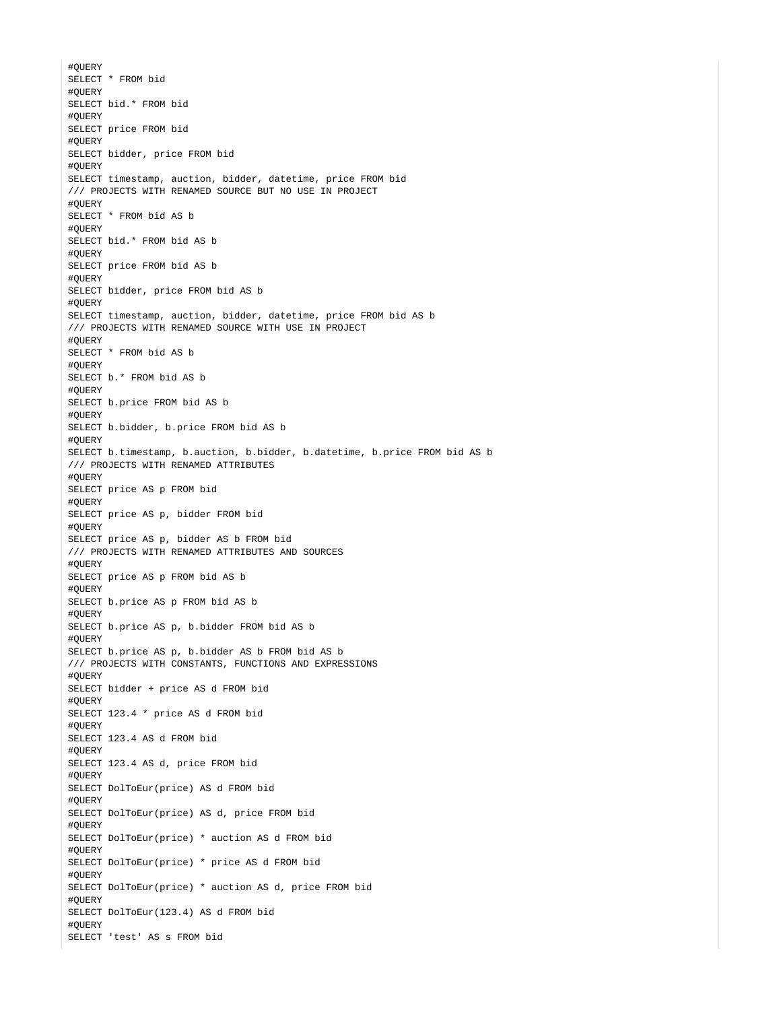#QUERY SELECT \* FROM bid #QUERY SELECT bid.\* FROM bid #QUERY SELECT price FROM bid #QUERY SELECT bidder, price FROM bid #QUERY SELECT timestamp, auction, bidder, datetime, price FROM bid /// PROJECTS WITH RENAMED SOURCE BUT NO USE IN PROJECT #QUERY SELECT \* FROM bid AS b #QUERY SELECT bid.\* FROM bid AS b #QUERY SELECT price FROM bid AS b #QUERY SELECT bidder, price FROM bid AS b #QUERY SELECT timestamp, auction, bidder, datetime, price FROM bid AS b /// PROJECTS WITH RENAMED SOURCE WITH USE IN PROJECT #QUERY SELECT \* FROM bid AS b #QUERY SELECT b.\* FROM bid AS b #QUERY SELECT b.price FROM bid AS b #QUERY SELECT b.bidder, b.price FROM bid AS b #QUERY SELECT b.timestamp, b.auction, b.bidder, b.datetime, b.price FROM bid AS b /// PROJECTS WITH RENAMED ATTRIBUTES #QUERY SELECT price AS p FROM bid #QUERY SELECT price AS p, bidder FROM bid #QUERY SELECT price AS p, bidder AS b FROM bid /// PROJECTS WITH RENAMED ATTRIBUTES AND SOURCES #QUERY SELECT price AS p FROM bid AS b #QUERY SELECT b.price AS p FROM bid AS b #QUERY SELECT b.price AS p, b.bidder FROM bid AS b #QUERY SELECT b.price AS p, b.bidder AS b FROM bid AS b /// PROJECTS WITH CONSTANTS, FUNCTIONS AND EXPRESSIONS #QUERY SELECT bidder + price AS d FROM bid #QUERY SELECT 123.4 \* price AS d FROM bid #QUERY SELECT 123.4 AS d FROM bid #QUERY SELECT 123.4 AS d, price FROM bid #QUERY SELECT DolToEur(price) AS d FROM bid #QUERY SELECT DolToEur(price) AS d, price FROM bid  $H$ OUERY SELECT DolToEur(price) \* auction AS d FROM bid #QUERY SELECT DolToEur(price) \* price AS d FROM bid #QUERY SELECT DolToEur(price) \* auction AS d, price FROM bid #QUERY SELECT DolToEur(123.4) AS d FROM bid #QUERY SELECT 'test' AS s FROM bid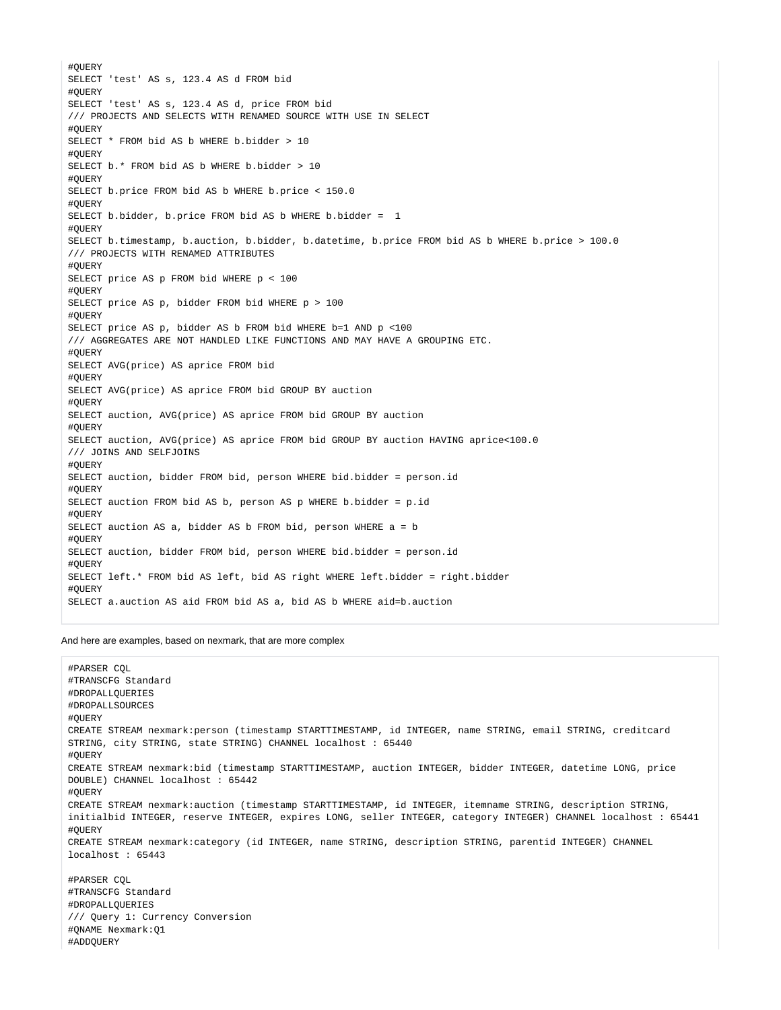#QUERY SELECT 'test' AS s, 123.4 AS d FROM bid #QUERY SELECT 'test' AS s, 123.4 AS d, price FROM bid /// PROJECTS AND SELECTS WITH RENAMED SOURCE WITH USE IN SELECT #QUERY SELECT \* FROM bid AS b WHERE b.bidder > 10 #QUERY SELECT b.\* FROM bid AS b WHERE b.bidder > 10 #QUERY SELECT b.price FROM bid AS b WHERE b.price < 150.0 #QUERY SELECT b.bidder, b.price FROM bid AS b WHERE b.bidder = 1 #QUERY SELECT b.timestamp, b.auction, b.bidder, b.datetime, b.price FROM bid AS b WHERE b.price > 100.0 /// PROJECTS WITH RENAMED ATTRIBUTES #QUERY SELECT price AS p FROM bid WHERE p < 100 #QUERY SELECT price AS p, bidder FROM bid WHERE p > 100 #QUERY SELECT price AS p, bidder AS b FROM bid WHERE b=1 AND p <100 /// AGGREGATES ARE NOT HANDLED LIKE FUNCTIONS AND MAY HAVE A GROUPING ETC. #QUERY SELECT AVG(price) AS aprice FROM bid #QUERY SELECT AVG(price) AS aprice FROM bid GROUP BY auction #QUERY SELECT auction, AVG(price) AS aprice FROM bid GROUP BY auction #QUERY SELECT auction, AVG(price) AS aprice FROM bid GROUP BY auction HAVING aprice<100.0 /// JOINS AND SELFJOINS #QUERY SELECT auction, bidder FROM bid, person WHERE bid.bidder = person.id #QUERY SELECT auction FROM bid AS b, person AS p WHERE b.bidder = p.id #QUERY SELECT auction AS a, bidder AS b FROM bid, person WHERE a = b #QUERY SELECT auction, bidder FROM bid, person WHERE bid.bidder = person.id #QUERY SELECT left.\* FROM bid AS left, bid AS right WHERE left.bidder = right.bidder #QUERY SELECT a.auction AS aid FROM bid AS a, bid AS b WHERE aid=b.auction

And here are examples, based on nexmark, that are more complex

```
#PARSER CQL
#TRANSCFG Standard
#DROPALLQUERIES
#DROPALLSOURCES
#QUERY
CREATE STREAM nexmark:person (timestamp STARTTIMESTAMP, id INTEGER, name STRING, email STRING, creditcard 
STRING, city STRING, state STRING) CHANNEL localhost : 65440
#QUERY
CREATE STREAM nexmark:bid (timestamp STARTTIMESTAMP, auction INTEGER, bidder INTEGER, datetime LONG, price 
DOUBLE) CHANNEL localhost : 65442
#QUERY
CREATE STREAM nexmark:auction (timestamp STARTTIMESTAMP, id INTEGER, itemname STRING, description STRING, 
initialbid INTEGER, reserve INTEGER, expires LONG, seller INTEGER, category INTEGER) CHANNEL localhost : 65441
#QUERY
CREATE STREAM nexmark:category (id INTEGER, name STRING, description STRING, parentid INTEGER) CHANNEL 
localhost : 65443
#PARSER CQL
#TRANSCFG Standard
#DROPALLQUERIES
/// Query 1: Currency Conversion
#QNAME Nexmark:Q1
```
#ADDQUERY